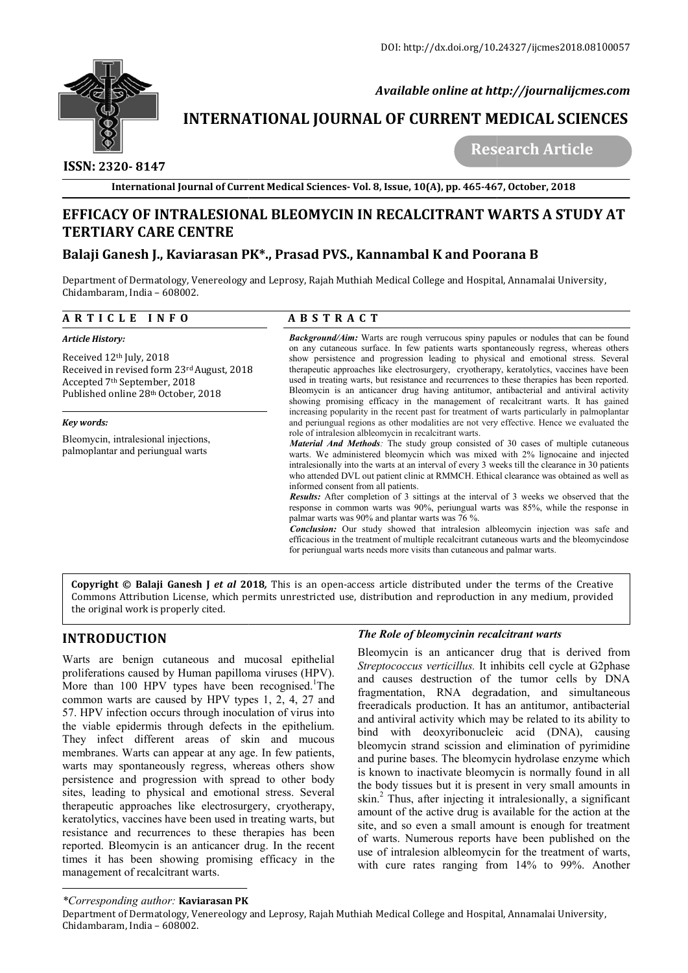

 *Available online at http://journalijcmes.com*

# **INTERNATIONAL JOURNAL OF CURRENT MEDICAL SCIENCES**

 **ISSN: 2320- 8147**

 **Research Article**

# **EFFICACY OF INTRALESIONAL BLEOMYCIN IN RECALCITRANT WARTS A STUDY RECALCITRANT A AT TERTIARY CARE CENTRE**

# Balaji Ganesh J., Kaviarasan PK\*., Prasad PVS., Kannambal K and Poorana B

Department of Dermatology, Venereology and Leprosy, Rajah Muthiah Medical College and Hospital, Annamalai University, Chidambaram, India – 608002.

## **A R T I C L E I N F O**

#### *Article History:*

Received 12th July, 2018 Received in revised form 23rd August, 2018 Accepted 7th September, 2018 Published online 28th October, 2018

#### *Key words:*

Bleomycin, intralesional injections, palmoplantar and periungual warts

## **A B S T R A C T**

**Background/Aim:** Warts are rough verrucous spiny papules or nodules that can be found on any cutaneous surface. In few patients warts spontaneously regress, whereas others show persistence and progression leading to physi on any cutaneous surface. In few patients warts spontaneously regress, whereas others **Background/Aim:** Warts are rough verrucous spiny papules or nodules that can be found on any cutaneous surface. In few patients warts spontaneously regress, whereas others show persistence and progression leading to physi therapeutic approaches like electrosurgery, cryotherapy, keratolytics, vaccines have been used in treating warts, but resistance and recurrences to these therapies has been reported. therapeutic approaches like electrosurgery, cryotherapy, keratolytics, vaccines have been used in treating warts, but resistance and recurrences to these therapies has been reported. Bleomycin is an anticancer drug having showing promising efficacy in the management of recalcitrant warts. It has gained increasing popularity in the recent past for treatment of warts particularly in palmoplantar increasing popularity in the recent past for treatment of warts particularly in palmoplantar and periungual regions as other modalities are not very effective. Hence we evaluated the role of intralesion albleomycin in recalcitrant warts. International Journal of Current Medical Sciences- Vol. 8, Issue, 10(A), pp. 465-467, October, 2018<br> **CV OF INTRALESIONAL BLEOMYCIN IN RECALCITRANT WARTS A STURY CARE CENTRE**<br> **AIRY CARE CENTRE**<br> **AIRY CARE CONSECTIVATE AN** 

*Material And Methods:* The study group consisted of 30 cases of multiple cutaneous **Material And Methods**: The study group consisted of 30 cases of multiple cutaneous warts. We administered bleomycin which was mixed with 2% lignocaine and injected intralesionally into the warts at an interval of every 3 weeks till the clearance in 30 patients who attended DVL out patient clinic at RMMCH. Ethical clearance was obtained as well as informed consent from all patients. intralesionally into the warts at an interval of every 3 weeks till the clearance in 30 patients<br>who attended DVL out patient clinic at RMMCH. Ethical clearance was obtained as well as<br>informed consent from all patients.<br>

palmar warts was 90% and plantar warts was 76 %.

response in common warts was 90%, periungual warts was 85%, while the response in palmar warts was 90% and plantar warts was 76 %.<br>**Conclusion:** Our study showed that intralesion albleomycin injection was safe and efficaci *Conclusion:* Our study showed that intralesion albleomycin injection was safe and efficacious in the treatment of multiple recalcitrant cutaneous warts and the bleomycindose for periungual warts needs more visits than cutaneous and palmar warts.

**Copyright © Balaji Ganesh J** *et al* **201 2018***,* This is an open-access article distributed under the terms of the Creative Commons Attribution License, which permits unrestricted use, distribution and reproduction in any medium, provided the original work is properly cited.

# **INTRODUCTION**

Warts are benign cutaneous and mucosal epithelial proliferations caused by Human papilloma viruses (HPV). More than 100 HPV types have been recognised.<sup>1</sup>The common warts are caused by HPV types 1, 2, 4, 27 and 57. HPV infection occurs through inoculation of virus into the viable epidermis through defects in the epithelium. They infect different areas of skin and mucous membranes. Warts can appear at any age. In few patients, warts may spontaneously regress, whereas others show persistence and progression with spread to other body sites, leading to physical and emotional stress. Several therapeutic approaches like electrosurgery, cryotherapy, keratolytics, vaccines have been used in treating warts, but resistance and recurrences to these therapies has been reported. Bleomycin is an anticancer drug. In the recent times it has been showing promising efficacy in the management of recalcitrant warts. s are caused by HPV types 1, 2, 4, 27 and<br>tion occurs through inoculation of virus into<br>idermis through defects in the epithelium.<br>different areas of skin and mucous<br>Varts can appear at any age. In few patients,

### **The Role of bleomycinin recalcitrant warts**

**EXECUTE:** The **EXECUTE CONSTRANT CONSTRANT CONSTRANT CONSTRANT CONSTRANT CONSTRANT CONSTRANT CONSTRANT CONSTRANT AND A CONSTRANT (FIFT AND A CONSTRANT A CONSTRANT A CONSTRANT A CONSTRANT A CONSTRANT A CONSTRANT A CONSTRAN** Bleomycin is an anticancer drug that is derived from *Streptococcus verticillus.* It inhibits cell cycle at G2phase and causes destruction of the tumor cells by DNA fragmentation, RNA degradation, and simultaneous freeradicals production. It has an antitumor, antibacterial and antiviral activity which may be related to its ability to bind with deoxyribonucleic acid (DNA), causing bleomycin strand scission and elimination of pyrimidine and purine bases. The bleomycin hydrolase enzyme which is known to inactivate bleomycin is normally found in all the body tissues but it is present in very small amounts in skin.<sup>2</sup> Thus, after injecting it intralesionally, a significant amount of the active drug is available for the action at the amount of the active drug is available for the action at the site, and so even a small amount is enough for treatment of warts. Numerous reports have been published on the use of intralesion albleomycin for the treatment of warts, with cure rates ranging from 14% to 99%. Another Bleomycin is an anticancer drug that is derived from *Streptococcus verticillus*. It inhibits cell cycle at G2phase and causes destruction of the tumor cells by DNA fragmentation, RNA degradation, and simultaneous freeradi **IAL OF CURRENT MEDICAL SCIENCES**<br>
Research Article<br>
Test and 3, Issue, 10(A), pp. 465-467, October, 2018<br>
IN RECALCITRANT WARTS A STUDY AT<br>
IN RECALCITRANT WARTS A STUDY AT<br>
Kannambal K and Poorana B<br>
Kannambal K and Poor

Department of Dermatology, Venereology and Leprosy, Rajah Muthiah Medical College and Hospital, Annamalai University, Chidambaram, India – 608002.

*<sup>\*</sup>Corresponding author:* **Kaviarasan PK**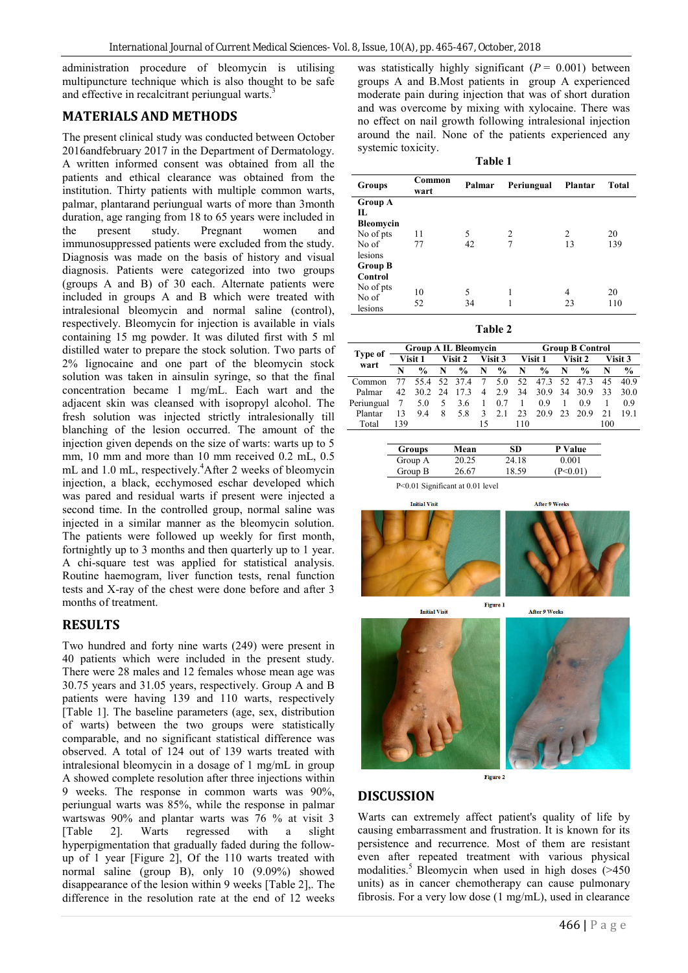administration procedure of bleomycin is utilising multipuncture technique which is also thought to be safe and effective in recalcitrant periungual warts.<sup>3</sup>

## **MATERIALS AND METHODS**

The present clinical study was conducted between October 2016andfebruary 2017 in the Department of Dermatology. A written informed consent was obtained from all the patients and ethical clearance was obtained from the institution. Thirty patients with multiple common warts, palmar, plantarand periungual warts of more than 3month duration, age ranging from 18 to 65 years were included in the present study. Pregnant women and immunosuppressed patients were excluded from the study. Diagnosis was made on the basis of history and visual diagnosis. Patients were categorized into two groups (groups A and B) of 30 each. Alternate patients were included in groups A and B which were treated with intralesional bleomycin and normal saline (control), respectively. Bleomycin for injection is available in vials containing 15 mg powder. It was diluted first with 5 ml distilled water to prepare the stock solution. Two parts of 2% lignocaine and one part of the bleomycin stock solution was taken in ainsulin syringe, so that the final concentration became 1 mg/mL. Each wart and the adjacent skin was cleansed with isopropyl alcohol. The fresh solution was injected strictly intralesionally till blanching of the lesion occurred. The amount of the injection given depends on the size of warts: warts up to 5 mm, 10 mm and more than 10 mm received 0.2 mL, 0.5 mL and 1.0 mL, respectively.<sup>4</sup>After 2 weeks of bleomycin injection, a black, ecchymosed eschar developed which was pared and residual warts if present were injected a second time. In the controlled group, normal saline was injected in a similar manner as the bleomycin solution. The patients were followed up weekly for first month, fortnightly up to 3 months and then quarterly up to 1 year. A chi-square test was applied for statistical analysis. Routine haemogram, liver function tests, renal function tests and X-ray of the chest were done before and after 3 months of treatment.

### **RESULTS**

Two hundred and forty nine warts (249) were present in 40 patients which were included in the present study. There were 28 males and 12 females whose mean age was 30.75 years and 31.05 years, respectively. Group A and B patients were having 139 and 110 warts, respectively [Table 1]. The baseline parameters (age, sex, distribution of warts) between the two groups were statistically comparable, and no significant statistical difference was observed. A total of 124 out of 139 warts treated with intralesional bleomycin in a dosage of 1 mg/mL in group A showed complete resolution after three injections within 9 weeks. The response in common warts was 90%, periungual warts was 85%, while the response in palmar wartswas 90% and plantar warts was 76 % at visit 3<br>[Table 2]. Warts regressed with a slight [Table 2]. Warts regressed with a slight hyperpigmentation that gradually faded during the followup of 1 year [Figure 2], Of the 110 warts treated with normal saline (group B), only 10 (9.09%) showed disappearance of the lesion within 9 weeks [Table 2],. The difference in the resolution rate at the end of 12 weeks

was statistically highly significant  $(P = 0.001)$  between groups A and B.Most patients in group A experienced moderate pain during injection that was of short duration and was overcome by mixing with xylocaine. There was no effect on nail growth following intralesional injection around the nail. None of the patients experienced any systemic toxicity.

| `able |  |
|-------|--|
|-------|--|

| <b>Groups</b>    | Common<br>wart | Palmar | Periungual     | Plantar | <b>Total</b> |
|------------------|----------------|--------|----------------|---------|--------------|
| <b>Group A</b>   |                |        |                |         |              |
| П.               |                |        |                |         |              |
| <b>Bleomycin</b> |                |        |                |         |              |
| No of pts        | 11             | 5      | $\overline{c}$ | 2       | 20           |
| No of            | 77             | 42     |                | 13      | 139          |
| lesions          |                |        |                |         |              |
| <b>Group B</b>   |                |        |                |         |              |
| Control          |                |        |                |         |              |
| No of pts        | 10             | 5      | 1              | 4       | 20           |
| No of            |                |        |                |         |              |
| lesions          | 52             | 34     |                | 23      | 110          |

**Table 2**

|                        | <b>Group A IL Bleomycin</b> |                |   |                    | <b>Group B Control</b> |               |     |                 |   |               |     |                 |
|------------------------|-----------------------------|----------------|---|--------------------|------------------------|---------------|-----|-----------------|---|---------------|-----|-----------------|
| <b>Type of</b><br>wart |                             | Visit 1        |   | Visit 2            |                        | Visit 3       |     | Visit 1         |   | Visit 2       |     | <b>Visit 3</b>  |
|                        | N                           | $\frac{6}{10}$ | N | $\frac{6}{10}$     | N                      | $\frac{0}{0}$ | N   | $\frac{6}{9}$   | N | $\frac{0}{0}$ | N   | $\frac{6}{9}$   |
| Common                 | 77                          |                |   | 55.4 52 37.4 7 5.0 |                        |               |     | 52 47.3 52 47.3 |   |               | 45  | 40.9            |
| Palmar                 | 42.                         | 30.2 24        |   | 17.3               | $\overline{4}$         | 2.9           | 34  | 30.9 34 30.9    |   |               | 33  | 30 <sub>0</sub> |
| Periungual             | -7                          | 5.0            |   | 5 3.6              | $\sim$ 1               | 0.7           | - 1 | 09              |   | 09            |     | 09              |
| Plantar                | 13                          | 94             | 8 | 5.8                | $\mathcal{F}$          | 2.1           | 23  | 20.9 23 20.9    |   |               | 2.1 | 191             |
| Total                  | 139                         |                |   |                    | 15                     |               | 110 |                 |   |               | 100 |                 |

| Groups  | Mean  | SD    | <b>P</b> Value |  |
|---------|-------|-------|----------------|--|
| Group A | 20.25 | 24.18 | 0.001          |  |
| Group B | 26.67 | 18.59 | /P<በ በ1)       |  |

**Figure 1** 

P<0.01 Significant at 0.01 level





**Initial Visit** 

**After 9 Weeks** 





Figure 2

### **DISCUSSION**

Warts can extremely affect patient's quality of life by causing embarrassment and frustration. It is known for its persistence and recurrence. Most of them are resistant even after repeated treatment with various physical modalities.<sup>5</sup> Bleomycin when used in high doses  $($ >450 units) as in cancer chemotherapy can cause pulmonary fibrosis. For a very low dose (1 mg/mL), used in clearance